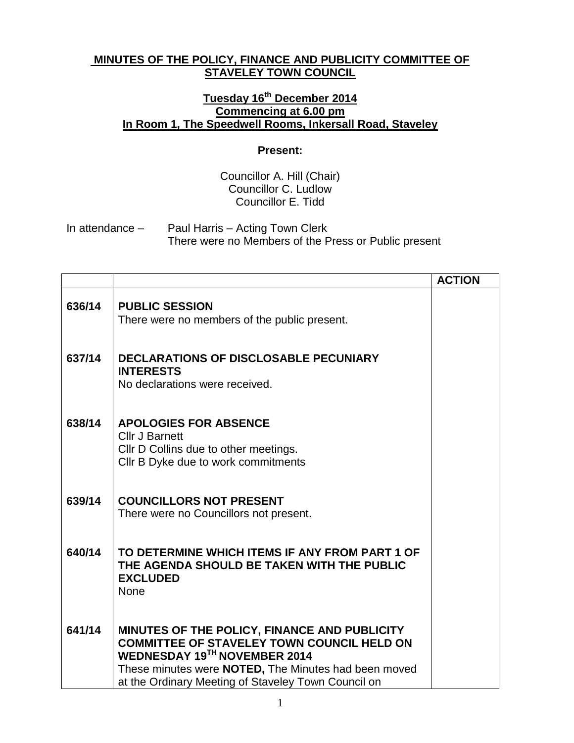## **MINUTES OF THE POLICY, FINANCE AND PUBLICITY COMMITTEE OF STAVELEY TOWN COUNCIL**

## **Tuesday 16th December 2014 Commencing at 6.00 pm In Room 1, The Speedwell Rooms, Inkersall Road, Staveley**

## **Present:**

Councillor A. Hill (Chair) Councillor C. Ludlow Councillor E. Tidd

In attendance – Paul Harris – Acting Town Clerk There were no Members of the Press or Public present

|        |                                                                                                                                                                                                                                                                 | <b>ACTION</b> |
|--------|-----------------------------------------------------------------------------------------------------------------------------------------------------------------------------------------------------------------------------------------------------------------|---------------|
| 636/14 | <b>PUBLIC SESSION</b><br>There were no members of the public present.                                                                                                                                                                                           |               |
| 637/14 | <b>DECLARATIONS OF DISCLOSABLE PECUNIARY</b><br><b>INTERESTS</b><br>No declarations were received.                                                                                                                                                              |               |
| 638/14 | <b>APOLOGIES FOR ABSENCE</b><br><b>Cllr J Barnett</b><br>CIIr D Collins due to other meetings.<br>Cllr B Dyke due to work commitments                                                                                                                           |               |
| 639/14 | <b>COUNCILLORS NOT PRESENT</b><br>There were no Councillors not present.                                                                                                                                                                                        |               |
| 640/14 | TO DETERMINE WHICH ITEMS IF ANY FROM PART 1 OF<br>THE AGENDA SHOULD BE TAKEN WITH THE PUBLIC<br><b>EXCLUDED</b><br><b>None</b>                                                                                                                                  |               |
| 641/14 | MINUTES OF THE POLICY, FINANCE AND PUBLICITY<br><b>COMMITTEE OF STAVELEY TOWN COUNCIL HELD ON</b><br><b>WEDNESDAY 19TH NOVEMBER 2014</b><br>These minutes were <b>NOTED</b> , The Minutes had been moved<br>at the Ordinary Meeting of Staveley Town Council on |               |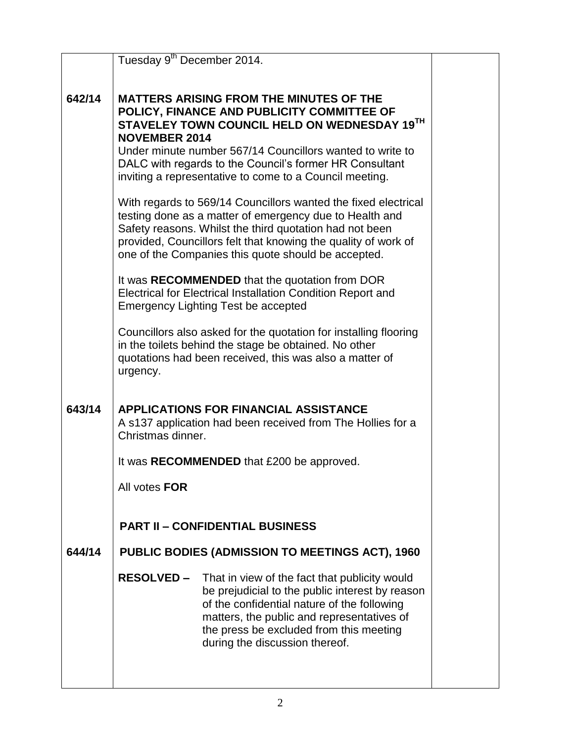|        | Tuesday 9 <sup>th</sup> December 2014.                                                                                                                                                                                                                                                                                                                  |  |
|--------|---------------------------------------------------------------------------------------------------------------------------------------------------------------------------------------------------------------------------------------------------------------------------------------------------------------------------------------------------------|--|
| 642/14 | <b>MATTERS ARISING FROM THE MINUTES OF THE</b><br>POLICY, FINANCE AND PUBLICITY COMMITTEE OF<br>STAVELEY TOWN COUNCIL HELD ON WEDNESDAY 19TH<br><b>NOVEMBER 2014</b><br>Under minute number 567/14 Councillors wanted to write to<br>DALC with regards to the Council's former HR Consultant<br>inviting a representative to come to a Council meeting. |  |
|        | With regards to 569/14 Councillors wanted the fixed electrical<br>testing done as a matter of emergency due to Health and<br>Safety reasons. Whilst the third quotation had not been<br>provided, Councillors felt that knowing the quality of work of<br>one of the Companies this quote should be accepted.                                           |  |
|        | It was RECOMMENDED that the quotation from DOR<br>Electrical for Electrical Installation Condition Report and<br><b>Emergency Lighting Test be accepted</b>                                                                                                                                                                                             |  |
|        | Councillors also asked for the quotation for installing flooring<br>in the toilets behind the stage be obtained. No other<br>quotations had been received, this was also a matter of<br>urgency.                                                                                                                                                        |  |
| 643/14 | <b>APPLICATIONS FOR FINANCIAL ASSISTANCE</b><br>A s137 application had been received from The Hollies for a<br>Christmas dinner.                                                                                                                                                                                                                        |  |
|        | It was RECOMMENDED that £200 be approved.                                                                                                                                                                                                                                                                                                               |  |
|        | All votes FOR                                                                                                                                                                                                                                                                                                                                           |  |
|        | <b>PART II - CONFIDENTIAL BUSINESS</b>                                                                                                                                                                                                                                                                                                                  |  |
| 644/14 | <b>PUBLIC BODIES (ADMISSION TO MEETINGS ACT), 1960</b>                                                                                                                                                                                                                                                                                                  |  |
|        | <b>RESOLVED –</b><br>That in view of the fact that publicity would<br>be prejudicial to the public interest by reason<br>of the confidential nature of the following<br>matters, the public and representatives of<br>the press be excluded from this meeting<br>during the discussion thereof.                                                         |  |